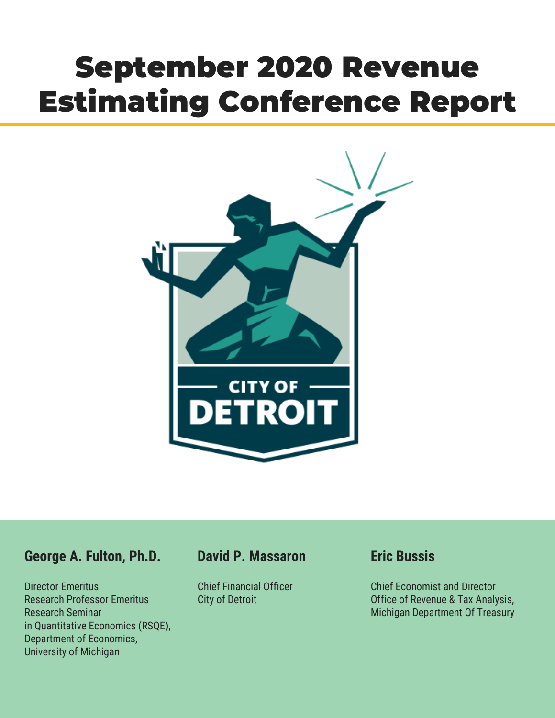# September 2020 Revenue Estimating Conference Report



# **George A. Fulton, Ph.D.**

Director Emeritus Research Professor Emeritus Research Seminar in Quantitative Economics (RSQE), Department of Economics, University of Michigan

# **David P. Massaron**

Chief Financial Officer City of Detroit

# **Eric Bussis**

Chief Economist and Director Office of Revenue & Tax Analysis, Michigan Department Of Treasury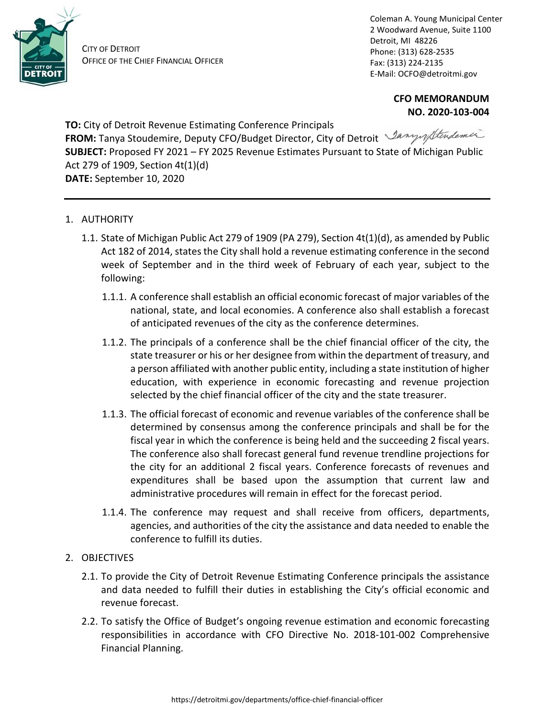

CITY OF DETROIT OFFICE OF THE CHIEF FINANCIAL OFFICER Coleman A. Young Municipal Center 2 Woodward Avenue, Suite 1100 Detroit, MI 48226 Phone: (313) 628-2535 Fax: (313) 224-2135 E-Mail: OCFO@detroitmi.gov

> **CFO MEMORANDUM NO. 2020-103-004**

**TO:** City of Detroit Revenue Estimating Conference Principals **FROM:** Tanya Stoudemire, Deputy CFO/Budget Director, City of Detroit *Lany of Stindemire* **SUBJECT:** Proposed FY 2021 – FY 2025 Revenue Estimates Pursuant to State of Michigan Public Act 279 of 1909, Section 4t(1)(d) **DATE:** September 10, 2020

- 1. AUTHORITY
	- 1.1. State of Michigan Public Act 279 of 1909 (PA 279), Section 4t(1)(d), as amended by Public Act 182 of 2014, states the City shall hold a revenue estimating conference in the second week of September and in the third week of February of each year, subject to the following:
		- 1.1.1. A conference shall establish an official economic forecast of major variables of the national, state, and local economies. A conference also shall establish a forecast of anticipated revenues of the city as the conference determines.
		- 1.1.2. The principals of a conference shall be the chief financial officer of the city, the state treasurer or his or her designee from within the department of treasury, and a person affiliated with another public entity, including a state institution of higher education, with experience in economic forecasting and revenue projection selected by the chief financial officer of the city and the state treasurer.
		- 1.1.3. The official forecast of economic and revenue variables of the conference shall be determined by consensus among the conference principals and shall be for the fiscal year in which the conference is being held and the succeeding 2 fiscal years. The conference also shall forecast general fund revenue trendline projections for the city for an additional 2 fiscal years. Conference forecasts of revenues and expenditures shall be based upon the assumption that current law and administrative procedures will remain in effect for the forecast period.
		- 1.1.4. The conference may request and shall receive from officers, departments, agencies, and authorities of the city the assistance and data needed to enable the conference to fulfill its duties.
- 2. OBJECTIVES
	- 2.1. To provide the City of Detroit Revenue Estimating Conference principals the assistance and data needed to fulfill their duties in establishing the City's official economic and revenue forecast.
	- 2.2. To satisfy the Office of Budget's ongoing revenue estimation and economic forecasting responsibilities in accordance with CFO Directive No. 2018-101-002 Comprehensive Financial Planning.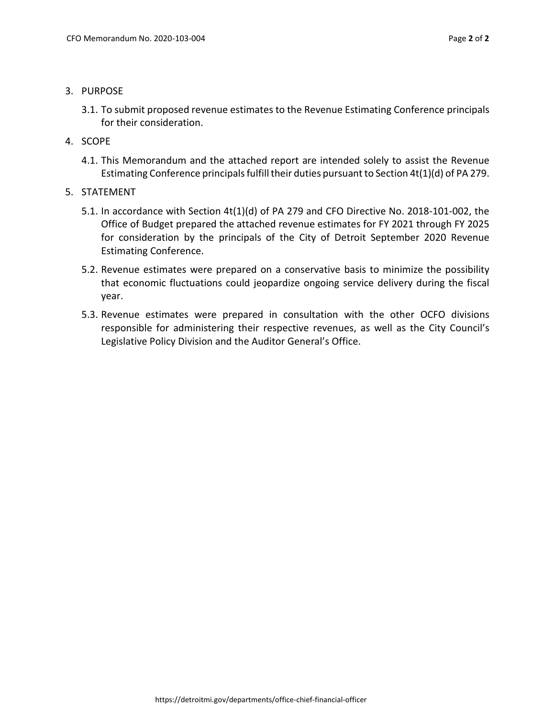- 3. PURPOSE
	- 3.1. To submit proposed revenue estimates to the Revenue Estimating Conference principals for their consideration.
- 4. SCOPE
	- 4.1. This Memorandum and the attached report are intended solely to assist the Revenue Estimating Conference principals fulfill their duties pursuant to Section 4t(1)(d) of PA 279.
- 5. STATEMENT
	- 5.1. In accordance with Section 4t(1)(d) of PA 279 and CFO Directive No. 2018-101-002, the Office of Budget prepared the attached revenue estimates for FY 2021 through FY 2025 for consideration by the principals of the City of Detroit September 2020 Revenue Estimating Conference.
	- 5.2. Revenue estimates were prepared on a conservative basis to minimize the possibility that economic fluctuations could jeopardize ongoing service delivery during the fiscal year.
	- 5.3. Revenue estimates were prepared in consultation with the other OCFO divisions responsible for administering their respective revenues, as well as the City Council's Legislative Policy Division and the Auditor General's Office.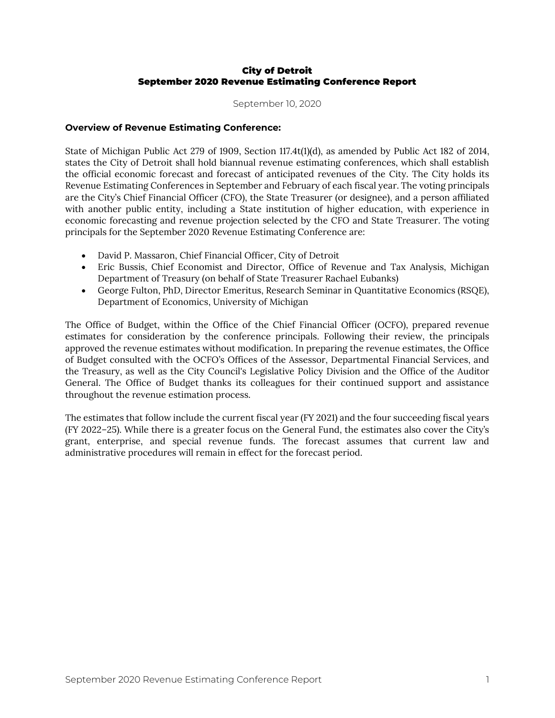# City of Detroit September 2020 Revenue Estimating Conference Report

September 10, 2020

# **Overview of Revenue Estimating Conference:**

State of Michigan Public Act 279 of 1909, Section 117.4t(1)(d), as amended by Public Act 182 of 2014, states the City of Detroit shall hold biannual revenue estimating conferences, which shall establish the official economic forecast and forecast of anticipated revenues of the City. The City holds its Revenue Estimating Conferences in September and February of each fiscal year. The voting principals are the City's Chief Financial Officer (CFO), the State Treasurer (or designee), and a person affiliated with another public entity, including a State institution of higher education, with experience in economic forecasting and revenue projection selected by the CFO and State Treasurer. The voting principals for the September 2020 Revenue Estimating Conference are:

- David P. Massaron, Chief Financial Officer, City of Detroit
- Eric Bussis, Chief Economist and Director, Office of Revenue and Tax Analysis, Michigan Department of Treasury (on behalf of State Treasurer Rachael Eubanks)
- George Fulton, PhD, Director Emeritus, Research Seminar in Quantitative Economics (RSQE), Department of Economics, University of Michigan

The Office of Budget, within the Office of the Chief Financial Officer (OCFO), prepared revenue estimates for consideration by the conference principals. Following their review, the principals approved the revenue estimates without modification. In preparing the revenue estimates, the Office of Budget consulted with the OCFO's Offices of the Assessor, Departmental Financial Services, and the Treasury, as well as the City Council's Legislative Policy Division and the Office of the Auditor General. The Office of Budget thanks its colleagues for their continued support and assistance throughout the revenue estimation process.

The estimates that follow include the current fiscal year (FY 2021) and the four succeeding fiscal years (FY 2022–25). While there is a greater focus on the General Fund, the estimates also cover the City's grant, enterprise, and special revenue funds. The forecast assumes that current law and administrative procedures will remain in effect for the forecast period.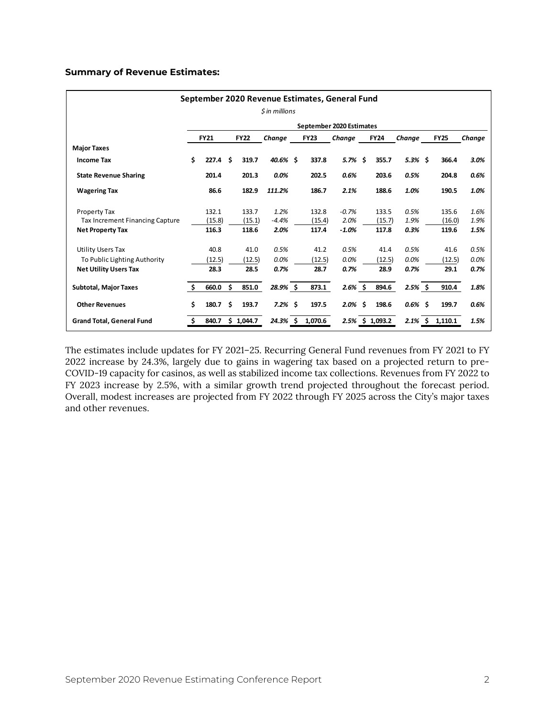# **Summary of Revenue Estimates:**

| September 2020 Revenue Estimates, General Fund |     |                    |     |                 |                 |  |                 |                          |  |                 |              |  |                 |              |
|------------------------------------------------|-----|--------------------|-----|-----------------|-----------------|--|-----------------|--------------------------|--|-----------------|--------------|--|-----------------|--------------|
| \$ in millions                                 |     |                    |     |                 |                 |  |                 |                          |  |                 |              |  |                 |              |
|                                                |     |                    |     |                 |                 |  |                 | September 2020 Estimates |  |                 |              |  |                 |              |
|                                                |     | <b>FY21</b>        |     | <b>FY22</b>     | Change          |  | <b>FY23</b>     | Change                   |  | <b>FY24</b>     | Change       |  | <b>FY25</b>     | Change       |
| <b>Major Taxes</b>                             |     |                    |     |                 |                 |  |                 |                          |  |                 |              |  |                 |              |
| <b>Income Tax</b>                              | \$  | 227.4 <sub>5</sub> |     | 319.7           | 40.6% \$        |  | 337.8           | 5.7% \$                  |  | 355.7           | $5.3\%$ \$   |  | 366.4           | 3.0%         |
| <b>State Revenue Sharing</b>                   |     | 201.4              |     | 201.3           | 0.0%            |  | 202.5           | 0.6%                     |  | 203.6           | 0.5%         |  | 204.8           | 0.6%         |
| <b>Wagering Tax</b>                            |     | 86.6               |     | 182.9           | 111.2%          |  | 186.7           | 2.1%                     |  | 188.6           | 1.0%         |  | 190.5           | 1.0%         |
| <b>Property Tax</b>                            |     | 132.1              |     | 133.7           | 1.2%            |  | 132.8           | $-0.7%$                  |  | 133.5           | 0.5%         |  | 135.6           | 1.6%         |
| Tax Increment Financing Capture                |     | (15.8)<br>116.3    |     | (15.1)<br>118.6 | $-4.4%$<br>2.0% |  | (15.4)<br>117.4 | 2.0%<br>$-1.0%$          |  | (15.7)<br>117.8 | 1.9%<br>0.3% |  | (16.0)<br>119.6 | 1.9%<br>1.5% |
| <b>Net Property Tax</b>                        |     |                    |     |                 |                 |  |                 |                          |  |                 |              |  |                 |              |
| <b>Utility Users Tax</b>                       |     | 40.8               |     | 41.0            | 0.5%            |  | 41.2            | 0.5%                     |  | 41.4            | 0.5%         |  | 41.6            | 0.5%         |
| To Public Lighting Authority                   |     | (12.5)             |     | (12.5)          | 0.0%            |  | (12.5)          | 0.0%                     |  | (12.5)          | 0.0%         |  | (12.5)          | 0.0%         |
| <b>Net Utility Users Tax</b>                   |     | 28.3               |     | 28.5            | 0.7%            |  | 28.7            | 0.7%                     |  | 28.9            | 0.7%         |  | 29.1            | 0.7%         |
| <b>Subtotal, Major Taxes</b>                   | -\$ | 660.0              | \$  | 851.0           | 28.9% \$        |  | 873.1           | $2.6\%$ \$               |  | 894.6           | $2.5\%$ \$   |  | 910.4           | 1.8%         |
| <b>Other Revenues</b>                          | \$  | 180.7              | \$. | 193.7           | $7.2\%$ \$      |  | 197.5           | $2.0\%$ \$               |  | 198.6           | $0.6\%$ \$   |  | 199.7           | 0.6%         |
| <b>Grand Total, General Fund</b>               | \$. | 840.7              |     | \$1,044.7       | $24.3\%$ \$     |  | 1,070.6         |                          |  | 2.5% \$ 1,093.2 | $2.1\%$ \$   |  | 1,110.1         | 1.5%         |

The estimates include updates for FY 2021–25. Recurring General Fund revenues from FY 2021 to FY 2022 increase by 24.3%, largely due to gains in wagering tax based on a projected return to pre-COVID-19 capacity for casinos, as well as stabilized income tax collections. Revenues from FY 2022 to FY 2023 increase by 2.5%, with a similar growth trend projected throughout the forecast period. Overall, modest increases are projected from FY 2022 through FY 2025 across the City's major taxes and other revenues.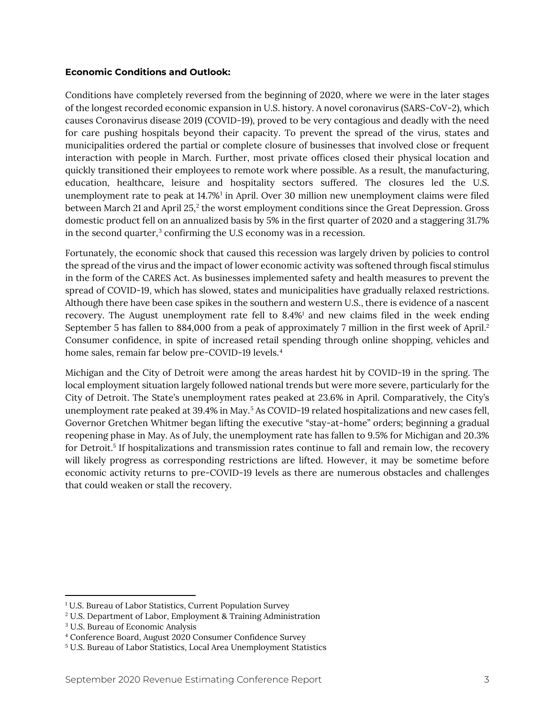# **Economic Conditions and Outlook:**

Conditions have completely reversed from the beginning of 2020, where we were in the later stages of the longest recorded economic expansion in U.S. history. A novel coronavirus (SARS-CoV-2), which causes Coronavirus disease 2019 (COVID-19), proved to be very contagious and deadly with the need for care pushing hospitals beyond their capacity. To prevent the spread of the virus, states and municipalities ordered the partial or complete closure of businesses that involved close or frequent interaction with people in March. Further, most private offices closed their physical location and quickly transitioned their employees to remote work where possible. As a result, the manufacturing, education, healthcare, leisure and hospitality sectors suffered. The closures led the U.S. unemployment rate to peak at 14.7%[1](#page-5-0) in April. Over 30 million new unemployment claims were filed between March 21 and April 25, [2](#page-5-1) the worst employment conditions since the Great Depression. Gross domestic product fell on an annualized basis by 5% in the first quarter of 2020 and a staggering 31.7% in the second quarter, [3](#page-5-2) confirming the U.S economy was in a recession.

Fortunately, the economic shock that caused this recession was largely driven by policies to control the spread of the virus and the impact of lower economic activity was softened through fiscal stimulus in the form of the CARES Act. As businesses implemented safety and health measures to prevent the spread of COVID-19, which has slowed, states and municipalities have gradually relaxed restrictions. Although there have been case spikes in the southern and western U.S., there is evidence of a nascent recovery. The August unemployment rate fell to 8.4%1 and new claims filed in the week ending September 5 has fallen to 884,000 from a peak of approximately 7 million in the first week of April. 2 Consumer confidence, in spite of increased retail spending through online shopping, vehicles and home sales, remain far below pre-COVID-19 levels. [4](#page-5-3)

Michigan and the City of Detroit were among the areas hardest hit by COVID-19 in the spring. The local employment situation largely followed national trends but were more severe, particularly for the City of Detroit. The State's unemployment rates peaked at 23.6% in April. Comparatively, the City's unemployment rate peaked at 39.4% in May. [5](#page-5-4) As COVID-19 related hospitalizations and new cases fell, Governor Gretchen Whitmer began lifting the executive "stay-at-home" orders; beginning a gradual reopening phase in May. As of July, the unemployment rate has fallen to 9.5% for Michigan and 20.3% for Detroit. <sup>5</sup> If hospitalizations and transmission rates continue to fall and remain low, the recovery will likely progress as corresponding restrictions are lifted. However, it may be sometime before economic activity returns to pre-COVID-19 levels as there are numerous obstacles and challenges that could weaken or stall the recovery.

l

<span id="page-5-0"></span><sup>&</sup>lt;sup>1</sup> U.S. Bureau of Labor Statistics, Current Population Survey

<span id="page-5-1"></span><sup>2</sup> U.S. Department of Labor, Employment & Training Administration

<span id="page-5-2"></span><sup>3</sup> U.S. Bureau of Economic Analysis

<span id="page-5-3"></span><sup>4</sup> Conference Board, August 2020 Consumer Confidence Survey

<span id="page-5-4"></span><sup>5</sup> U.S. Bureau of Labor Statistics, Local Area Unemployment Statistics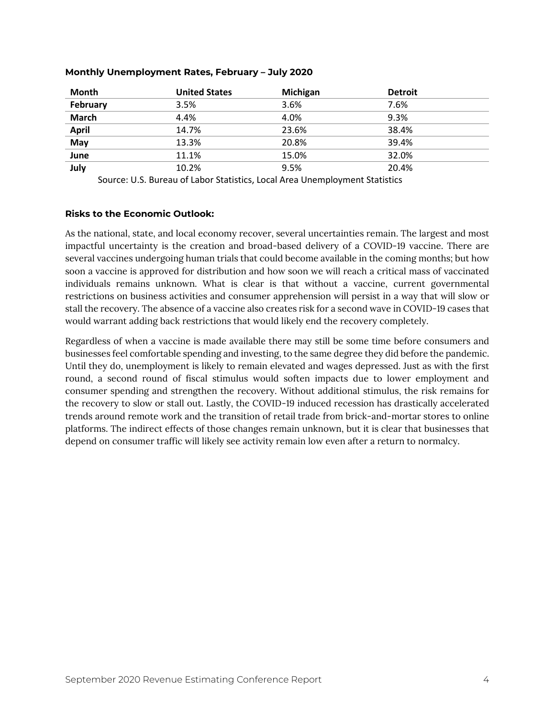| <b>Month</b> | <b>United States</b> | Michigan | <b>Detroit</b> |
|--------------|----------------------|----------|----------------|
| February     | 3.5%                 | 3.6%     | 7.6%           |
| <b>March</b> | 4.4%                 | 4.0%     | 9.3%           |
| <b>April</b> | 14.7%                | 23.6%    | 38.4%          |
| May          | 13.3%                | 20.8%    | 39.4%          |
| June         | 11.1%                | 15.0%    | 32.0%          |
| July         | 10.2%                | 9.5%     | 20.4%          |

# **Monthly Unemployment Rates, February – July 2020**

Source: U.S. Bureau of Labor Statistics, Local Area Unemployment Statistics

# **Risks to the Economic Outlook:**

As the national, state, and local economy recover, several uncertainties remain. The largest and most impactful uncertainty is the creation and broad-based delivery of a COVID-19 vaccine. There are several vaccines undergoing human trials that could become available in the coming months; but how soon a vaccine is approved for distribution and how soon we will reach a critical mass of vaccinated individuals remains unknown. What is clear is that without a vaccine, current governmental restrictions on business activities and consumer apprehension will persist in a way that will slow or stall the recovery. The absence of a vaccine also creates risk for a second wave in COVID-19 cases that would warrant adding back restrictions that would likely end the recovery completely.

Regardless of when a vaccine is made available there may still be some time before consumers and businesses feel comfortable spending and investing, to the same degree they did before the pandemic. Until they do, unemployment is likely to remain elevated and wages depressed. Just as with the first round, a second round of fiscal stimulus would soften impacts due to lower employment and consumer spending and strengthen the recovery. Without additional stimulus, the risk remains for the recovery to slow or stall out. Lastly, the COVID-19 induced recession has drastically accelerated trends around remote work and the transition of retail trade from brick-and-mortar stores to online platforms. The indirect effects of those changes remain unknown, but it is clear that businesses that depend on consumer traffic will likely see activity remain low even after a return to normalcy.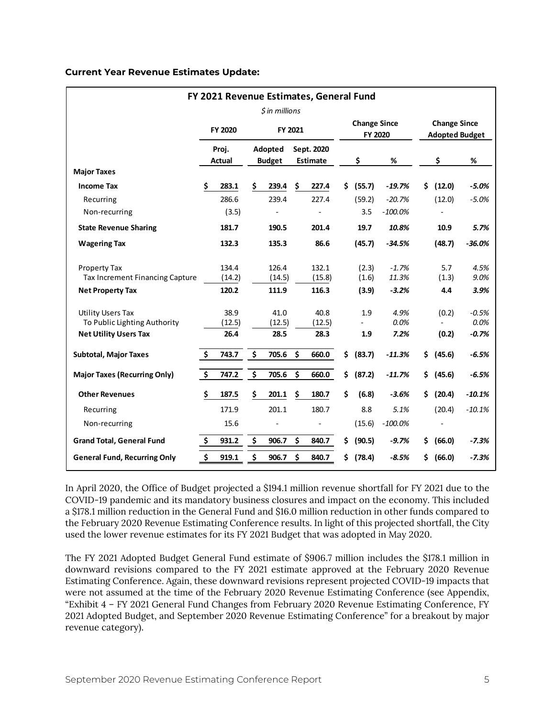# **Current Year Revenue Estimates Update:**

| FY 2021 Revenue Estimates, General Fund<br>$$$ in millions                               |                                 |                        |    |                          |         |                        |     |                                |                      |     |                                              |                            |  |  |
|------------------------------------------------------------------------------------------|---------------------------------|------------------------|----|--------------------------|---------|------------------------|-----|--------------------------------|----------------------|-----|----------------------------------------------|----------------------------|--|--|
|                                                                                          |                                 |                        |    |                          |         |                        |     |                                |                      |     |                                              |                            |  |  |
|                                                                                          |                                 | FY 2020                |    |                          | FY 2021 |                        |     | <b>Change Since</b><br>FY 2020 |                      |     | <b>Change Since</b><br><b>Adopted Budget</b> |                            |  |  |
|                                                                                          |                                 | Proj.<br>Actual        |    | Adopted<br><b>Budget</b> |         | Sept. 2020<br>Estimate |     | \$                             | %                    |     | \$                                           | %                          |  |  |
| <b>Major Taxes</b>                                                                       |                                 |                        |    |                          |         |                        |     |                                |                      |     |                                              |                            |  |  |
| <b>Income Tax</b>                                                                        | Ś                               | 283.1                  | \$ | 239.4                    | \$.     | 227.4                  | S.  | (55.7)                         | $-19.7%$             | \$. | (12.0)                                       | $-5.0%$                    |  |  |
| Recurring                                                                                |                                 | 286.6                  |    | 239.4                    |         | 227.4                  |     | (59.2)                         | $-20.7%$             |     | (12.0)                                       | $-5.0%$                    |  |  |
| Non-recurring                                                                            |                                 | (3.5)                  |    |                          |         |                        |     | 3.5                            | $-100.0%$            |     |                                              |                            |  |  |
| <b>State Revenue Sharing</b>                                                             |                                 | 181.7                  |    | 190.5                    |         | 201.4                  |     | 19.7                           | 10.8%                |     | 10.9                                         | 5.7%                       |  |  |
| <b>Wagering Tax</b>                                                                      |                                 | 132.3                  |    | 135.3                    |         | 86.6                   |     | (45.7)                         | $-34.5%$             |     | (48.7)                                       | $-36.0%$                   |  |  |
| <b>Property Tax</b><br>Tax Increment Financing Capture                                   |                                 | 134.4<br>(14.2)        |    | 126.4<br>(14.5)          |         | 132.1<br>(15.8)        |     | (2.3)<br>(1.6)                 | $-1.7%$<br>11.3%     |     | 5.7<br>(1.3)                                 | 4.5%<br>9.0%               |  |  |
| <b>Net Property Tax</b>                                                                  |                                 | 120.2                  |    | 111.9                    |         | 116.3                  |     | (3.9)                          | $-3.2%$              |     | 4.4                                          | 3.9%                       |  |  |
| <b>Utility Users Tax</b><br>To Public Lighting Authority<br><b>Net Utility Users Tax</b> |                                 | 38.9<br>(12.5)<br>26.4 |    | 41.0<br>(12.5)<br>28.5   |         | 40.8<br>(12.5)<br>28.3 |     | 1.9<br>1.9                     | 4.9%<br>0.0%<br>7.2% |     | (0.2)<br>(0.2)                               | $-0.5%$<br>0.0%<br>$-0.7%$ |  |  |
| <b>Subtotal, Major Taxes</b>                                                             | \$                              | 743.7                  | \$ | 705.6                    | Ś       | 660.0                  | Ś.  | (83.7)                         | $-11.3%$             | \$  | (45.6)                                       | $-6.5%$                    |  |  |
| <b>Major Taxes (Recurring Only)</b>                                                      | $\overline{\boldsymbol{\zeta}}$ | 747.2                  | \$ | 705.6                    | \$      | 660.0                  | Ś.  | (87.2)                         | $-11.7%$             | \$. | (45.6)                                       | $-6.5%$                    |  |  |
| <b>Other Revenues</b>                                                                    | \$                              | 187.5                  | Ś  | 201.1                    | \$      | 180.7                  | Ś.  | (6.8)                          | $-3.6%$              | \$. | (20.4)                                       | $-10.1%$                   |  |  |
| Recurring                                                                                |                                 | 171.9                  |    | 201.1                    |         | 180.7                  |     | 8.8                            | 5.1%                 |     | (20.4)                                       | $-10.1%$                   |  |  |
| Non-recurring                                                                            |                                 | 15.6                   |    |                          |         |                        |     | (15.6)                         | $-100.0\%$           |     |                                              |                            |  |  |
| <b>Grand Total, General Fund</b>                                                         | \$                              | 931.2                  | \$ | 906.7                    | \$      | 840.7                  | \$. | (90.5)                         | $-9.7%$              | S.  | (66.0)                                       | $-7.3%$                    |  |  |
| <b>General Fund, Recurring Only</b>                                                      | \$                              | 919.1                  | \$ | 906.7                    | \$      | 840.7                  | S.  | (78.4)                         | $-8.5%$              | S.  | (66.0)                                       | $-7.3%$                    |  |  |

In April 2020, the Office of Budget projected a \$194.1 million revenue shortfall for FY 2021 due to the COVID-19 pandemic and its mandatory business closures and impact on the economy. This included a \$178.1 million reduction in the General Fund and \$16.0 million reduction in other funds compared to the February 2020 Revenue Estimating Conference results. In light of this projected shortfall, the City used the lower revenue estimates for its FY 2021 Budget that was adopted in May 2020.

The FY 2021 Adopted Budget General Fund estimate of \$906.7 million includes the \$178.1 million in downward revisions compared to the FY 2021 estimate approved at the February 2020 Revenue Estimating Conference. Again, these downward revisions represent projected COVID-19 impacts that were not assumed at the time of the February 2020 Revenue Estimating Conference (see Appendix, "Exhibit 4 – FY 2021 General Fund Changes from February 2020 Revenue Estimating Conference, FY 2021 Adopted Budget, and September 2020 Revenue Estimating Conference" for a breakout by major revenue category).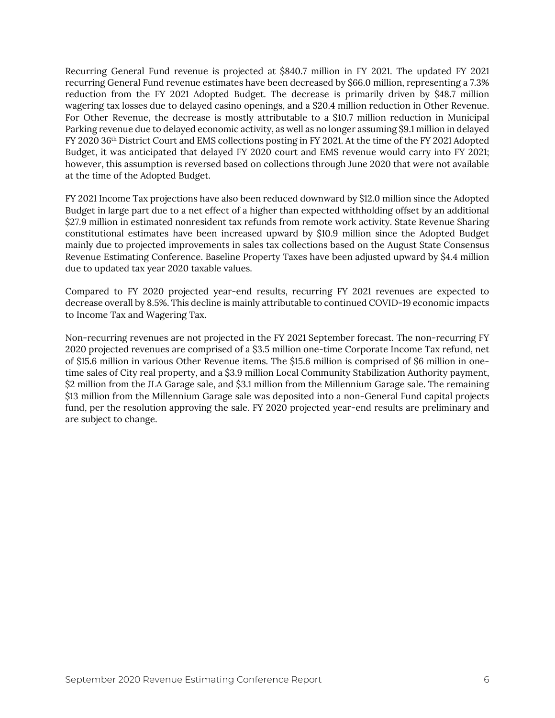Recurring General Fund revenue is projected at \$840.7 million in FY 2021. The updated FY 2021 recurring General Fund revenue estimates have been decreased by \$66.0 million, representing a 7.3% reduction from the FY 2021 Adopted Budget. The decrease is primarily driven by \$48.7 million wagering tax losses due to delayed casino openings, and a \$20.4 million reduction in Other Revenue. For Other Revenue, the decrease is mostly attributable to a \$10.7 million reduction in Municipal Parking revenue due to delayed economic activity, as well as no longer assuming \$9.1 million in delayed FY 2020 36th District Court and EMS collections posting in FY 2021. At the time of the FY 2021 Adopted Budget, it was anticipated that delayed FY 2020 court and EMS revenue would carry into FY 2021; however, this assumption is reversed based on collections through June 2020 that were not available at the time of the Adopted Budget.

FY 2021 Income Tax projections have also been reduced downward by \$12.0 million since the Adopted Budget in large part due to a net effect of a higher than expected withholding offset by an additional \$27.9 million in estimated nonresident tax refunds from remote work activity. State Revenue Sharing constitutional estimates have been increased upward by \$10.9 million since the Adopted Budget mainly due to projected improvements in sales tax collections based on the August State Consensus Revenue Estimating Conference. Baseline Property Taxes have been adjusted upward by \$4.4 million due to updated tax year 2020 taxable values.

Compared to FY 2020 projected year-end results, recurring FY 2021 revenues are expected to decrease overall by 8.5%. This decline is mainly attributable to continued COVID-19 economic impacts to Income Tax and Wagering Tax.

Non-recurring revenues are not projected in the FY 2021 September forecast. The non-recurring FY 2020 projected revenues are comprised of a \$3.5 million one-time Corporate Income Tax refund, net of \$15.6 million in various Other Revenue items. The \$15.6 million is comprised of \$6 million in onetime sales of City real property, and a \$3.9 million Local Community Stabilization Authority payment, \$2 million from the JLA Garage sale, and \$3.1 million from the Millennium Garage sale. The remaining \$13 million from the Millennium Garage sale was deposited into a non-General Fund capital projects fund, per the resolution approving the sale. FY 2020 projected year-end results are preliminary and are subject to change.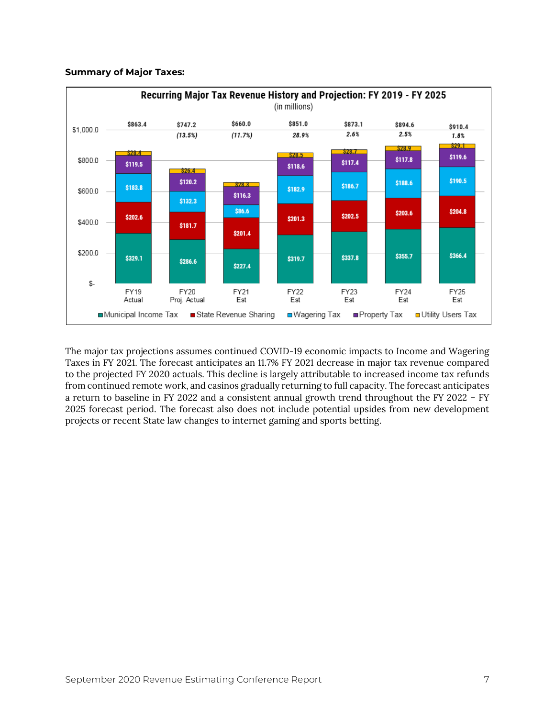# **Summary of Major Taxes:**



The major tax projections assumes continued COVID-19 economic impacts to Income and Wagering Taxes in FY 2021. The forecast anticipates an 11.7% FY 2021 decrease in major tax revenue compared to the projected FY 2020 actuals. This decline is largely attributable to increased income tax refunds from continued remote work, and casinos gradually returning to full capacity. The forecast anticipates a return to baseline in FY 2022 and a consistent annual growth trend throughout the FY 2022 – FY 2025 forecast period. The forecast also does not include potential upsides from new development projects or recent State law changes to internet gaming and sports betting.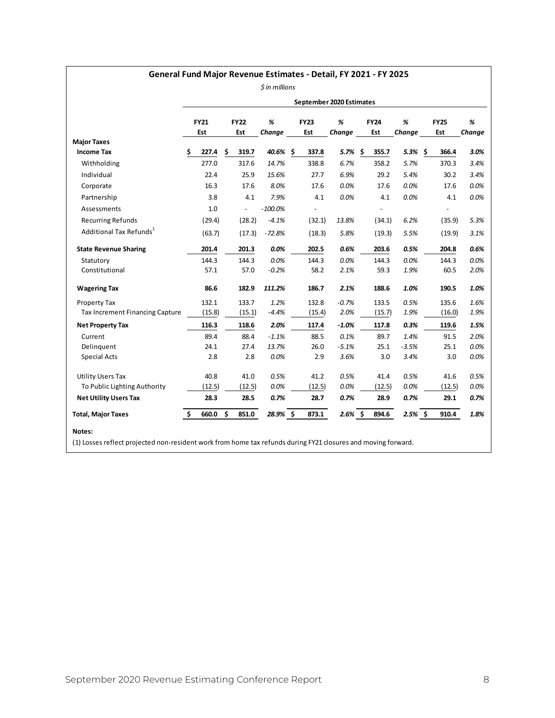# **General Fund Major Revenue Estimates - Detail, FY 2021 - FY 2025**

*\$ in millions*

|                                         |    |             |     |                          |             |             | September 2020 Estimates |      |             |            |             |        |
|-----------------------------------------|----|-------------|-----|--------------------------|-------------|-------------|--------------------------|------|-------------|------------|-------------|--------|
|                                         |    | <b>FY21</b> |     | <b>FY22</b>              | %           | <b>FY23</b> | %                        |      | <b>FY24</b> | %          | <b>FY25</b> | %      |
|                                         |    | Est         |     | Est                      | Change      | Est         | Change                   |      | Est         | Change     | Est         | Change |
| <b>Major Taxes</b><br><b>Income Tax</b> | \$ | 227.4       | \$  | 319.7                    | $40.6\%$ \$ | 337.8       | 5.7%                     | - \$ | 355.7       | $5.3\%$ \$ | 366.4       | 3.0%   |
| Withholding                             |    | 277.0       |     | 317.6                    | 14.7%       | 338.8       | 6.7%                     |      | 358.2       | 5.7%       | 370.3       | 3.4%   |
| Individual                              |    | 22.4        |     | 25.9                     | 15.6%       | 27.7        | 6.9%                     |      | 29.2        | 5.4%       | 30.2        | 3.4%   |
| Corporate                               |    | 16.3        |     | 17.6                     | 8.0%        | 17.6        | 0.0%                     |      | 17.6        | 0.0%       | 17.6        | 0.0%   |
| Partnership                             |    | 3.8         |     | 4.1                      | 7.9%        | 4.1         | 0.0%                     |      | 4.1         | 0.0%       | 4.1         | 0.0%   |
| Assessments                             |    | 1.0         |     | $\overline{\phantom{a}}$ | $-100.0%$   |             |                          |      |             |            |             |        |
| <b>Recurring Refunds</b>                |    | (29.4)      |     | (28.2)                   | $-4.1%$     | (32.1)      | 13.8%                    |      | (34.1)      | 6.2%       | (35.9)      | 5.3%   |
| Additional Tax Refunds <sup>1</sup>     |    | (63.7)      |     | (17.3)                   | $-72.8%$    | (18.3)      | 5.8%                     |      | (19.3)      | 5.5%       | (19.9)      | 3.1%   |
| <b>State Revenue Sharing</b>            |    | 201.4       |     | 201.3                    | 0.0%        | 202.5       | 0.6%                     |      | 203.6       | 0.5%       | 204.8       | 0.6%   |
| Statutory                               |    | 144.3       |     | 144.3                    | 0.0%        | 144.3       | 0.0%                     |      | 144.3       | 0.0%       | 144.3       | 0.0%   |
| Constitutional                          |    | 57.1        |     | 57.0                     | $-0.2%$     | 58.2        | 2.1%                     |      | 59.3        | 1.9%       | 60.5        | 2.0%   |
| <b>Wagering Tax</b>                     |    | 86.6        |     | 182.9                    | 111.2%      | 186.7       | 2.1%                     |      | 188.6       | 1.0%       | 190.5       | 1.0%   |
| Property Tax                            |    | 132.1       |     | 133.7                    | 1.2%        | 132.8       | $-0.7%$                  |      | 133.5       | 0.5%       | 135.6       | 1.6%   |
| Tax Increment Financing Capture         |    | (15.8)      |     | (15.1)                   | $-4.4%$     | (15.4)      | 2.0%                     |      | (15.7)      | 1.9%       | (16.0)      | 1.9%   |
| <b>Net Property Tax</b>                 |    | 116.3       |     | 118.6                    | 2.0%        | 117.4       | $-1.0%$                  |      | 117.8       | 0.3%       | 119.6       | 1.5%   |
| Current                                 |    | 89.4        |     | 88.4                     | $-1.1%$     | 88.5        | 0.1%                     |      | 89.7        | 1.4%       | 91.5        | 2.0%   |
| Delinguent                              |    | 24.1        |     | 27.4                     | 13.7%       | 26.0        | $-5.1%$                  |      | 25.1        | $-3.5%$    | 25.1        | 0.0%   |
| <b>Special Acts</b>                     |    | 2.8         |     | 2.8                      | 0.0%        | 2.9         | 3.6%                     |      | 3.0         | 3.4%       | 3.0         | 0.0%   |
| <b>Utility Users Tax</b>                |    | 40.8        |     | 41.0                     | 0.5%        | 41.2        | 0.5%                     |      | 41.4        | 0.5%       | 41.6        | 0.5%   |
| To Public Lighting Authority            |    | (12.5)      |     | (12.5)                   | 0.0%        | (12.5)      | 0.0%                     |      | (12.5)      | 0.0%       | (12.5)      | 0.0%   |
| <b>Net Utility Users Tax</b>            |    | 28.3        |     | 28.5                     | 0.7%        | 28.7        | 0.7%                     |      | 28.9        | 0.7%       | 29.1        | 0.7%   |
| <b>Total, Major Taxes</b>               | Ś. | 660.0       | \$. | 851.0                    | 28.9% \$    | 873.1       | $2.6%$ \$                |      | 894.6       | $2.5%$ \$  | 910.4       | 1.8%   |
| Notes:                                  |    |             |     |                          |             |             |                          |      |             |            |             |        |

(1) Losses reflect projected non-resident work from home tax refunds during FY21 closures and moving forward.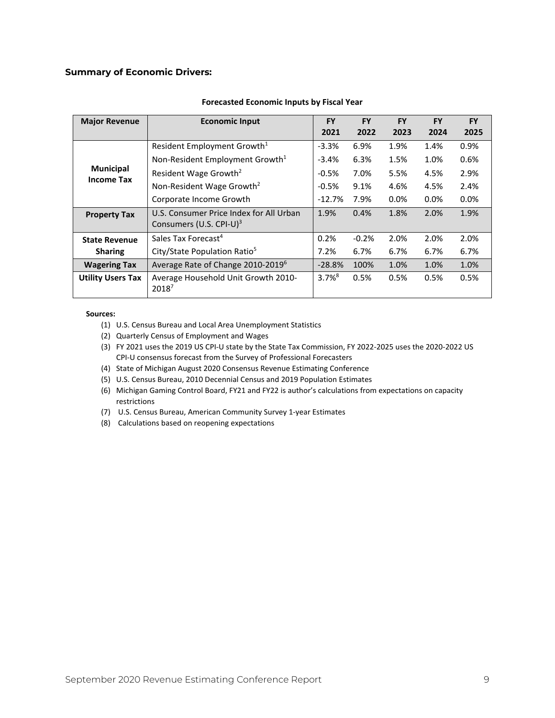# **Summary of Economic Drivers:**

| <b>Major Revenue</b>                  | <b>Economic Input</b>                                                          | <b>FY</b><br>2021    | <b>FY</b><br>2022 | <b>FY</b><br>2023 | <b>FY</b><br>2024 | <b>FY</b><br>2025 |
|---------------------------------------|--------------------------------------------------------------------------------|----------------------|-------------------|-------------------|-------------------|-------------------|
|                                       | Resident Employment Growth <sup>1</sup>                                        | $-3.3%$              | 6.9%              | 1.9%              | 1.4%              | 0.9%              |
|                                       | Non-Resident Employment Growth <sup>1</sup>                                    | $-3.4%$              | 6.3%              | 1.5%              | 1.0%              | 0.6%              |
| <b>Municipal</b><br><b>Income Tax</b> | Resident Wage Growth <sup>2</sup>                                              | $-0.5%$              | 7.0%              | 5.5%              | 4.5%              | 2.9%              |
|                                       | Non-Resident Wage Growth <sup>2</sup>                                          | $-0.5%$              | 9.1%              | 4.6%              | 4.5%              | 2.4%              |
|                                       | Corporate Income Growth                                                        | $-12.7%$             | 7.9%              | 0.0%              | 0.0%              | 0.0%              |
| <b>Property Tax</b>                   | U.S. Consumer Price Index for All Urban<br>Consumers (U.S. CPI-U) <sup>3</sup> | 1.9%                 | 0.4%              | 1.8%              | 2.0%              | 1.9%              |
| <b>State Revenue</b>                  | Sales Tax Forecast <sup>4</sup>                                                | 0.2%                 | $-0.2%$           | 2.0%              | 2.0%              | 2.0%              |
| <b>Sharing</b>                        | City/State Population Ratio <sup>5</sup>                                       | 7.2%                 | 6.7%              | 6.7%              | 6.7%              | 6.7%              |
| <b>Wagering Tax</b>                   | Average Rate of Change 2010-2019 <sup>6</sup>                                  | $-28.8%$             | 100%              | 1.0%              | 1.0%              | 1.0%              |
| <b>Utility Users Tax</b>              | Average Household Unit Growth 2010-<br>2018 <sup>7</sup>                       | $3.7\%$ <sup>8</sup> | 0.5%              | 0.5%              | 0.5%              | 0.5%              |

#### **Forecasted Economic Inputs by Fiscal Year**

#### **Sources:**

- (1) U.S. Census Bureau and Local Area Unemployment Statistics
- (2) Quarterly Census of Employment and Wages
- (3) FY 2021 uses the 2019 US CPI-U state by the State Tax Commission, FY 2022-2025 uses the 2020-2022 US CPI-U consensus forecast from the Survey of Professional Forecasters
- (4) State of Michigan August 2020 Consensus Revenue Estimating Conference
- (5) U.S. Census Bureau, 2010 Decennial Census and 2019 Population Estimates
- (6) Michigan Gaming Control Board, FY21 and FY22 is author's calculations from expectations on capacity restrictions
- (7) U.S. Census Bureau, American Community Survey 1-year Estimates
- (8) Calculations based on reopening expectations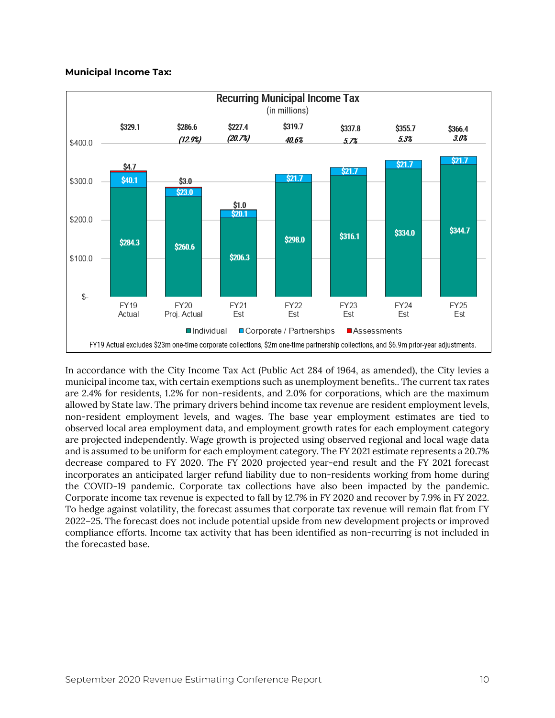# **Municipal Income Tax:**



In accordance with the City Income Tax Act (Public Act 284 of 1964, as amended), the City levies a municipal income tax, with certain exemptions such as unemployment benefits.. The current tax rates are 2.4% for residents, 1.2% for non-residents, and 2.0% for corporations, which are the maximum allowed by State law. The primary drivers behind income tax revenue are resident employment levels, non-resident employment levels, and wages. The base year employment estimates are tied to observed local area employment data, and employment growth rates for each employment category are projected independently. Wage growth is projected using observed regional and local wage data and is assumed to be uniform for each employment category. The FY 2021 estimate represents a 20.7% decrease compared to FY 2020. The FY 2020 projected year-end result and the FY 2021 forecast incorporates an anticipated larger refund liability due to non-residents working from home during the COVID-19 pandemic. Corporate tax collections have also been impacted by the pandemic. Corporate income tax revenue is expected to fall by 12.7% in FY 2020 and recover by 7.9% in FY 2022. To hedge against volatility, the forecast assumes that corporate tax revenue will remain flat from FY 2022–25. The forecast does not include potential upside from new development projects or improved compliance efforts. Income tax activity that has been identified as non-recurring is not included in the forecasted base.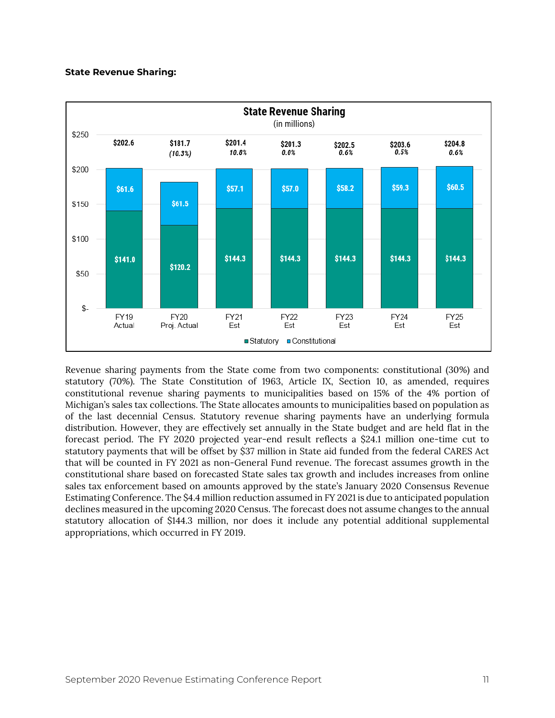# **State Revenue Sharing:**



Revenue sharing payments from the State come from two components: constitutional (30%) and statutory (70%). The State Constitution of 1963, Article IX, Section 10, as amended, requires constitutional revenue sharing payments to municipalities based on 15% of the 4% portion of Michigan's sales tax collections. The State allocates amounts to municipalities based on population as of the last decennial Census. Statutory revenue sharing payments have an underlying formula distribution. However, they are effectively set annually in the State budget and are held flat in the forecast period. The FY 2020 projected year-end result reflects a \$24.1 million one-time cut to statutory payments that will be offset by \$37 million in State aid funded from the federal CARES Act that will be counted in FY 2021 as non-General Fund revenue. The forecast assumes growth in the constitutional share based on forecasted State sales tax growth and includes increases from online sales tax enforcement based on amounts approved by the state's January 2020 Consensus Revenue Estimating Conference. The \$4.4 million reduction assumed in FY 2021 is due to anticipated population declines measured in the upcoming 2020 Census. The forecast does not assume changes to the annual statutory allocation of \$144.3 million, nor does it include any potential additional supplemental appropriations, which occurred in FY 2019.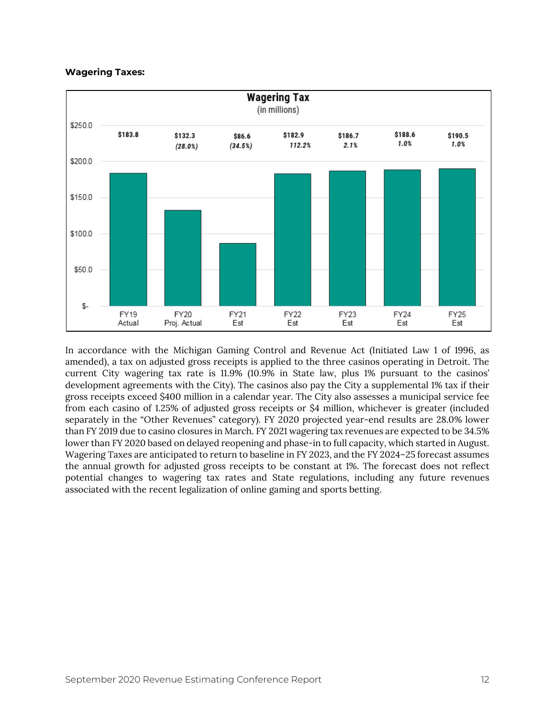# **Wagering Taxes:**



In accordance with the Michigan Gaming Control and Revenue Act (Initiated Law 1 of 1996, as amended), a tax on adjusted gross receipts is applied to the three casinos operating in Detroit. The current City wagering tax rate is 11.9% (10.9% in State law, plus 1% pursuant to the casinos' development agreements with the City). The casinos also pay the City a supplemental 1% tax if their gross receipts exceed \$400 million in a calendar year. The City also assesses a municipal service fee from each casino of 1.25% of adjusted gross receipts or \$4 million, whichever is greater (included separately in the "Other Revenues" category). FY 2020 projected year-end results are 28.0% lower than FY 2019 due to casino closures in March. FY 2021 wagering tax revenues are expected to be 34.5% lower than FY 2020 based on delayed reopening and phase-in to full capacity, which started in August. Wagering Taxes are anticipated to return to baseline in FY 2023, and the FY 2024–25 forecast assumes the annual growth for adjusted gross receipts to be constant at 1%. The forecast does not reflect potential changes to wagering tax rates and State regulations, including any future revenues associated with the recent legalization of online gaming and sports betting.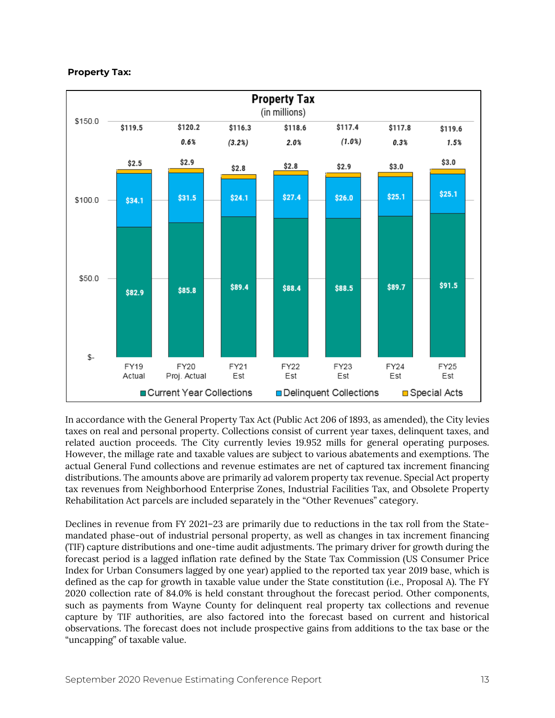# **Property Tax:**



In accordance with the General Property Tax Act (Public Act 206 of 1893, as amended), the City levies taxes on real and personal property. Collections consist of current year taxes, delinquent taxes, and related auction proceeds. The City currently levies 19.952 mills for general operating purposes. However, the millage rate and taxable values are subject to various abatements and exemptions. The actual General Fund collections and revenue estimates are net of captured tax increment financing distributions. The amounts above are primarily ad valorem property tax revenue. Special Act property tax revenues from Neighborhood Enterprise Zones, Industrial Facilities Tax, and Obsolete Property Rehabilitation Act parcels are included separately in the "Other Revenues" category.

Declines in revenue from FY 2021–23 are primarily due to reductions in the tax roll from the Statemandated phase-out of industrial personal property, as well as changes in tax increment financing (TIF) capture distributions and one-time audit adjustments. The primary driver for growth during the forecast period is a lagged inflation rate defined by the State Tax Commission (US Consumer Price Index for Urban Consumers lagged by one year) applied to the reported tax year 2019 base, which is defined as the cap for growth in taxable value under the State constitution (i.e., Proposal A). The FY 2020 collection rate of 84.0% is held constant throughout the forecast period. Other components, such as payments from Wayne County for delinquent real property tax collections and revenue capture by TIF authorities, are also factored into the forecast based on current and historical observations. The forecast does not include prospective gains from additions to the tax base or the "uncapping" of taxable value.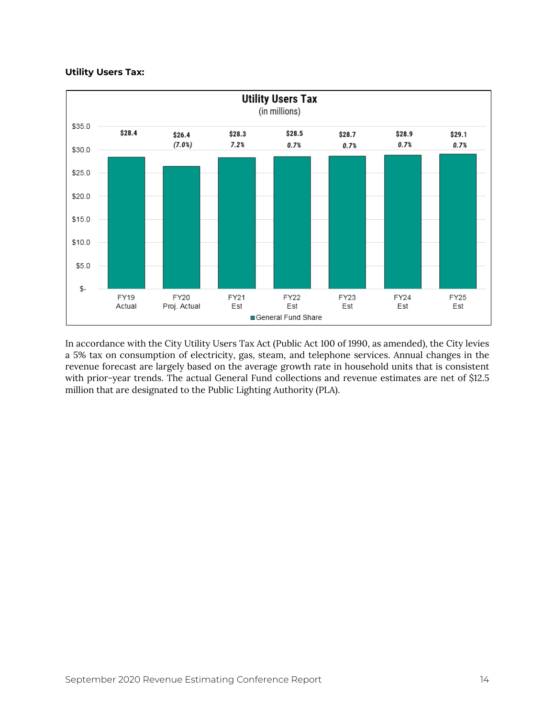# **Utility Users Tax:**



In accordance with the City Utility Users Tax Act (Public Act 100 of 1990, as amended), the City levies a 5% tax on consumption of electricity, gas, steam, and telephone services. Annual changes in the revenue forecast are largely based on the average growth rate in household units that is consistent with prior-year trends. The actual General Fund collections and revenue estimates are net of \$12.5 million that are designated to the Public Lighting Authority (PLA).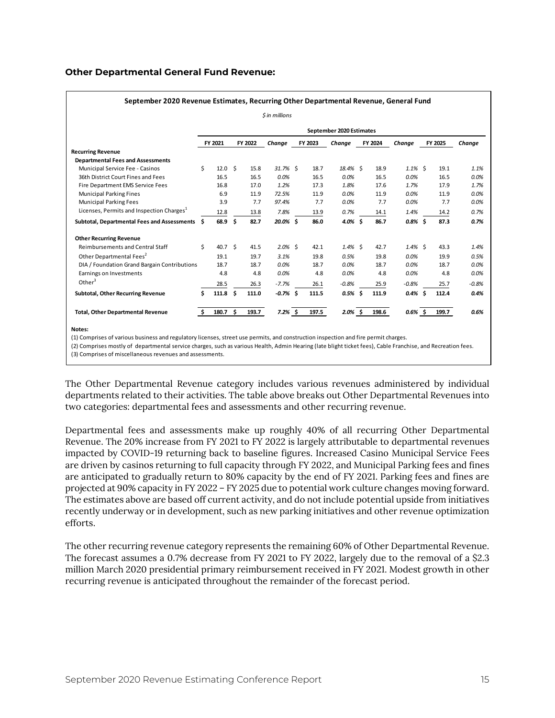# **Other Departmental General Fund Revenue:**

| September 2020 Revenue Estimates, Recurring Other Departmental Revenue, General Fund |     |                    |     |         |            |  |         |                          |  |         |            |   |         |         |
|--------------------------------------------------------------------------------------|-----|--------------------|-----|---------|------------|--|---------|--------------------------|--|---------|------------|---|---------|---------|
| \$ in millions                                                                       |     |                    |     |         |            |  |         |                          |  |         |            |   |         |         |
|                                                                                      |     |                    |     |         |            |  |         | September 2020 Estimates |  |         |            |   |         |         |
|                                                                                      |     | FY 2021            |     | FY 2022 | Change     |  | FY 2023 | Change                   |  | FY 2024 | Change     |   | FY 2025 | Change  |
| <b>Recurring Revenue</b>                                                             |     |                    |     |         |            |  |         |                          |  |         |            |   |         |         |
| <b>Departmental Fees and Assessments</b>                                             |     |                    |     |         |            |  |         |                          |  |         |            |   |         |         |
| Municipal Service Fee - Casinos                                                      | \$  | 12.0%              |     | 15.8    | $31.7%$ \$ |  | 18.7    | 18.4% \$                 |  | 18.9    | $1.1\%$ \$ |   | 19.1    | 1.1%    |
| 36th District Court Fines and Fees                                                   |     | 16.5               |     | 16.5    | 0.0%       |  | 16.5    | 0.0%                     |  | 16.5    | 0.0%       |   | 16.5    | 0.0%    |
| Fire Department EMS Service Fees                                                     |     | 16.8               |     | 17.0    | 1.2%       |  | 17.3    | 1.8%                     |  | 17.6    | 1.7%       |   | 17.9    | 1.7%    |
| <b>Municipal Parking Fines</b>                                                       |     | 6.9                |     | 11.9    | 72.5%      |  | 11.9    | 0.0%                     |  | 11.9    | $0.0\%$    |   | 11.9    | 0.0%    |
| <b>Municipal Parking Fees</b>                                                        |     | 3.9                |     | 7.7     | 97.4%      |  | 7.7     | 0.0%                     |  | 7.7     | 0.0%       |   | 7.7     | 0.0%    |
| Licenses, Permits and Inspection Charges <sup>1</sup>                                |     | 12.8               |     | 13.8    | 7.8%       |  | 13.9    | 0.7%                     |  | 14.1    | 1.4%       |   | 14.2    | 0.7%    |
| Subtotal, Departmental Fees and Assessments                                          | \$. | 68.9 \$            |     | 82.7    | 20.0% \$   |  | 86.0    | $4.0\%$ \$               |  | 86.7    | $0.8\%$ \$ |   | 87.3    | 0.7%    |
| <b>Other Recurring Revenue</b>                                                       |     |                    |     |         |            |  |         |                          |  |         |            |   |         |         |
| <b>Reimbursements and Central Staff</b>                                              | \$  | 40.7 <sup>5</sup>  |     | 41.5    | $2.0\%$ \$ |  | 42.1    | $1.4\%$ \$               |  | 42.7    | $1.4\%$ \$ |   | 43.3    | 1.4%    |
| Other Departmental Fees <sup>2</sup>                                                 |     | 19.1               |     | 19.7    | 3.1%       |  | 19.8    | 0.5%                     |  | 19.8    | 0.0%       |   | 19.9    | 0.5%    |
| DIA / Foundation Grand Bargain Contributions                                         |     | 18.7               |     | 18.7    | 0.0%       |  | 18.7    | 0.0%                     |  | 18.7    | $0.0\%$    |   | 18.7    | 0.0%    |
| Earnings on Investments                                                              |     | 4.8                |     | 4.8     | 0.0%       |  | 4.8     | 0.0%                     |  | 4.8     | 0.0%       |   | 4.8     | 0.0%    |
| Other $3$                                                                            |     | 28.5               |     | 26.3    | $-7.7%$    |  | 26.1    | $-0.8%$                  |  | 25.9    | $-0.8%$    |   | 25.7    | $-0.8%$ |
| Subtotal, Other Recurring Revenue                                                    | \$  | 111.8              | - Ś | 111.0   | $-0.7%$ \$ |  | 111.5   | $0.5%$ \$                |  | 111.9   | 0.4%       | Ŝ | 112.4   | 0.4%    |
| <b>Total, Other Departmental Revenue</b>                                             | \$  | 180.7 <sup>5</sup> |     | 193.7   | $7.2\%$ \$ |  | 197.5   | $2.0\%$ \$               |  | 198.6   | $0.6\%$ \$ |   | 199.7   | 0.6%    |

**Notes:**

(1) Comprises of various business and regulatory licenses, street use permits, and construction inspection and fire permit charges.

(2) Comprises mostly of departmental service charges, such as various Health, Admin Hearing (late blight ticket fees), Cable Franchise, and Recreation fees.

(3) Comprises of miscellaneous revenues and assessments.

The Other Departmental Revenue category includes various revenues administered by individual departments related to their activities. The table above breaks out Other Departmental Revenues into two categories: departmental fees and assessments and other recurring revenue.

Departmental fees and assessments make up roughly 40% of all recurring Other Departmental Revenue. The 20% increase from FY 2021 to FY 2022 is largely attributable to departmental revenues impacted by COVID-19 returning back to baseline figures. Increased Casino Municipal Service Fees are driven by casinos returning to full capacity through FY 2022, and Municipal Parking fees and fines are anticipated to gradually return to 80% capacity by the end of FY 2021. Parking fees and fines are projected at 90% capacity in FY 2022 – FY 2025 due to potential work culture changes moving forward. The estimates above are based off current activity, and do not include potential upside from initiatives recently underway or in development, such as new parking initiatives and other revenue optimization efforts.

The other recurring revenue category represents the remaining 60% of Other Departmental Revenue. The forecast assumes a 0.7% decrease from FY 2021 to FY 2022, largely due to the removal of a \$2.3 million March 2020 presidential primary reimbursement received in FY 2021. Modest growth in other recurring revenue is anticipated throughout the remainder of the forecast period.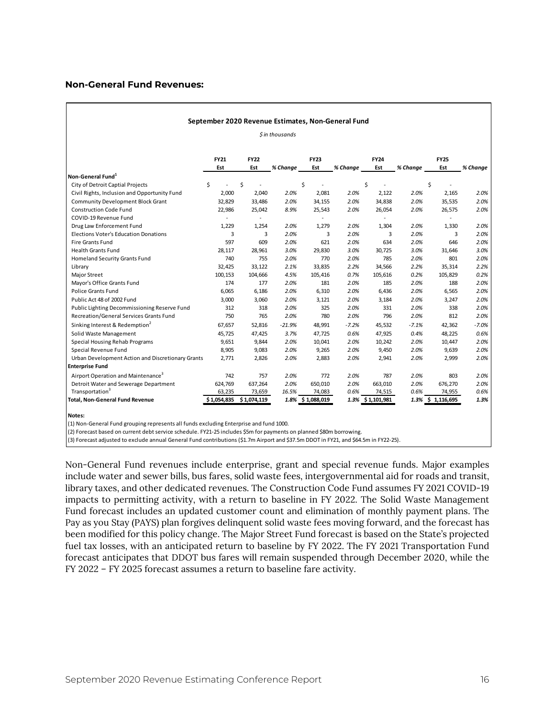# **Non-General Fund Revenues:**

|                                                   |             |             | $$$ in thousands |             |          |             |          |             |          |
|---------------------------------------------------|-------------|-------------|------------------|-------------|----------|-------------|----------|-------------|----------|
|                                                   | <b>FY21</b> | <b>FY22</b> |                  | <b>FY23</b> |          | <b>FY24</b> |          | <b>FY25</b> |          |
|                                                   | Est         | Est         | % Change         | Est         | % Change | Est         | % Change | Est         | % Change |
| Non-General Fund <sup>1</sup>                     |             |             |                  |             |          |             |          |             |          |
| City of Detroit Captial Projects                  | \$          | \$          |                  | \$          |          | \$          |          | \$          |          |
| Civil Rights, Inclusion and Opportunity Fund      | 2,000       | 2,040       | 2.0%             | 2,081       | 2.0%     | 2,122       | 2.0%     | 2,165       | 2.0%     |
| <b>Community Development Block Grant</b>          | 32,829      | 33,486      | 2.0%             | 34,155      | 2.0%     | 34,838      | 2.0%     | 35,535      | 2.0%     |
| <b>Construction Code Fund</b>                     | 22,986      | 25,042      | 8.9%             | 25,543      | 2.0%     | 26,054      | 2.0%     | 26,575      | 2.0%     |
| COVID-19 Revenue Fund                             |             |             |                  |             |          |             |          |             |          |
| Drug Law Enforcement Fund                         | 1.229       | 1,254       | 2.0%             | 1,279       | 2.0%     | 1,304       | 2.0%     | 1,330       | 2.0%     |
| <b>Elections Voter's Education Donations</b>      | 3           | 3           | 2.0%             | 3           | 2.0%     | 3           | 2.0%     | 3           | 2.0%     |
| Fire Grants Fund                                  | 597         | 609         | 2.0%             | 621         | 2.0%     | 634         | 2.0%     | 646         | 2.0%     |
| <b>Health Grants Fund</b>                         | 28,117      | 28,961      | 3.0%             | 29,830      | 3.0%     | 30,725      | 3.0%     | 31,646      | 3.0%     |
| Homeland Security Grants Fund                     | 740         | 755         | 2.0%             | 770         | 2.0%     | 785         | 2.0%     | 801         | 2.0%     |
| Library                                           | 32,425      | 33,122      | 2.1%             | 33,835      | 2.2%     | 34,566      | 2.2%     | 35,314      | 2.2%     |
| Major Street                                      | 100,153     | 104,666     | 4.5%             | 105,416     | 0.7%     | 105,616     | 0.2%     | 105,829     | 0.2%     |
| Mayor's Office Grants Fund                        | 174         | 177         | 2.0%             | 181         | 2.0%     | 185         | 2.0%     | 188         | 2.0%     |
| <b>Police Grants Fund</b>                         | 6,065       | 6,186       | 2.0%             | 6,310       | 2.0%     | 6,436       | 2.0%     | 6,565       | 2.0%     |
| Public Act 48 of 2002 Fund                        | 3,000       | 3,060       | 2.0%             | 3,121       | 2.0%     | 3,184       | 2.0%     | 3,247       | 2.0%     |
| Public Lighting Decommissioning Reserve Fund      | 312         | 318         | 2.0%             | 325         | 2.0%     | 331         | 2.0%     | 338         | 2.0%     |
| Recreation/General Services Grants Fund           | 750         | 765         | 2.0%             | 780         | 2.0%     | 796         | 2.0%     | 812         | 2.0%     |
| Sinking Interest & Redemption <sup>2</sup>        | 67,657      | 52,816      | $-21.9%$         | 48,991      | $-7.2%$  | 45,532      | $-7.1%$  | 42,362      | $-7.0%$  |
| Solid Waste Management                            | 45,725      | 47,425      | 3.7%             | 47,725      | 0.6%     | 47,925      | 0.4%     | 48,225      | 0.6%     |
| Special Housing Rehab Programs                    | 9,651       | 9,844       | 2.0%             | 10,041      | 2.0%     | 10,242      | 2.0%     | 10,447      | 2.0%     |
| Special Revenue Fund                              | 8,905       | 9,083       | 2.0%             | 9,265       | 2.0%     | 9,450       | 2.0%     | 9,639       | 2.0%     |
| Urban Development Action and Discretionary Grants | 2,771       | 2,826       | 2.0%             | 2,883       | 2.0%     | 2,941       | 2.0%     | 2,999       | 2.0%     |
| <b>Enterprise Fund</b>                            |             |             |                  |             |          |             |          |             |          |
| Airport Operation and Maintenance <sup>3</sup>    | 742         | 757         | 2.0%             | 772         | 2.0%     | 787         | 2.0%     | 803         | 2.0%     |
| Detroit Water and Sewerage Department             | 624,769     | 637,264     | 2.0%             | 650,010     | 2.0%     | 663,010     | 2.0%     | 676,270     | 2.0%     |
| Transportation <sup>3</sup>                       | 63,235      | 73,659      | 16.5%            | 74,083      | 0.6%     | 74,515      | 0.6%     | 74,955      | 0.6%     |

**Notes:**

(1) Non-General Fund grouping represents all funds excluding Enterprise and fund 1000.

(2) Forecast based on current debt service schedule. FY21-25 includes \$5m for payments on planned \$80m borrowing.

(3) Forecast adjusted to exclude annual General Fund contributions (\$1.7m Airport and \$37.5m DDOT in FY21, and \$64.5m in FY22-25).

Non-General Fund revenues include enterprise, grant and special revenue funds. Major examples include water and sewer bills, bus fares, solid waste fees, intergovernmental aid for roads and transit, library taxes, and other dedicated revenues. The Construction Code Fund assumes FY 2021 COVID-19 impacts to permitting activity, with a return to baseline in FY 2022. The Solid Waste Management Fund forecast includes an updated customer count and elimination of monthly payment plans. The Pay as you Stay (PAYS) plan forgives delinquent solid waste fees moving forward, and the forecast has been modified for this policy change. The Major Street Fund forecast is based on the State's projected fuel tax losses, with an anticipated return to baseline by FY 2022. The FY 2021 Transportation Fund forecast anticipates that DDOT bus fares will remain suspended through December 2020, while the FY 2022 – FY 2025 forecast assumes a return to baseline fare activity.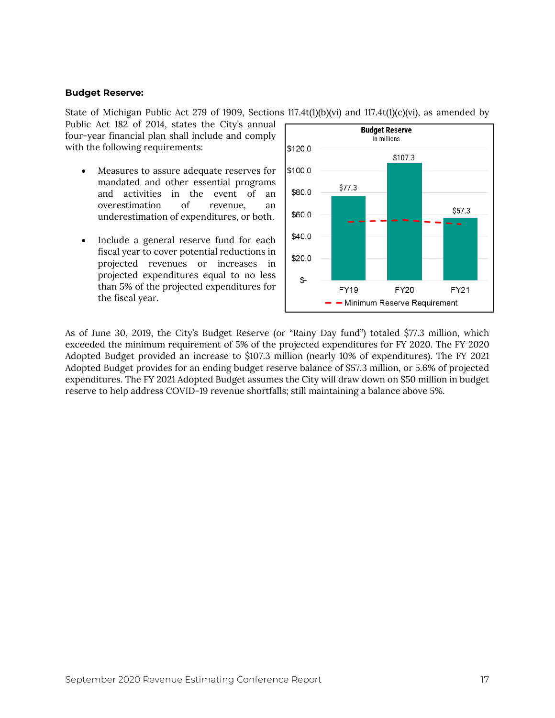## **Budget Reserve:**

State of Michigan Public Act 279 of 1909, Sections 117.4t(1)(b)(vi) and 117.4t(1)(c)(vi), as amended by Public Act 182 of 2014, states the City's annual

four-year financial plan shall include and comply with the following requirements:

- Measures to assure adequate reserves for mandated and other essential programs and activities in the event of an overestimation of revenue, an underestimation of expenditures, or both.
- Include a general reserve fund for each fiscal year to cover potential reductions in projected revenues or increases in projected expenditures equal to no less than 5% of the projected expenditures for the fiscal year.



As of June 30, 2019, the City's Budget Reserve (or "Rainy Day fund") totaled \$77.3 million, which exceeded the minimum requirement of 5% of the projected expenditures for FY 2020. The FY 2020 Adopted Budget provided an increase to \$107.3 million (nearly 10% of expenditures). The FY 2021 Adopted Budget provides for an ending budget reserve balance of \$57.3 million, or 5.6% of projected expenditures. The FY 2021 Adopted Budget assumes the City will draw down on \$50 million in budget reserve to help address COVID-19 revenue shortfalls; still maintaining a balance above 5%.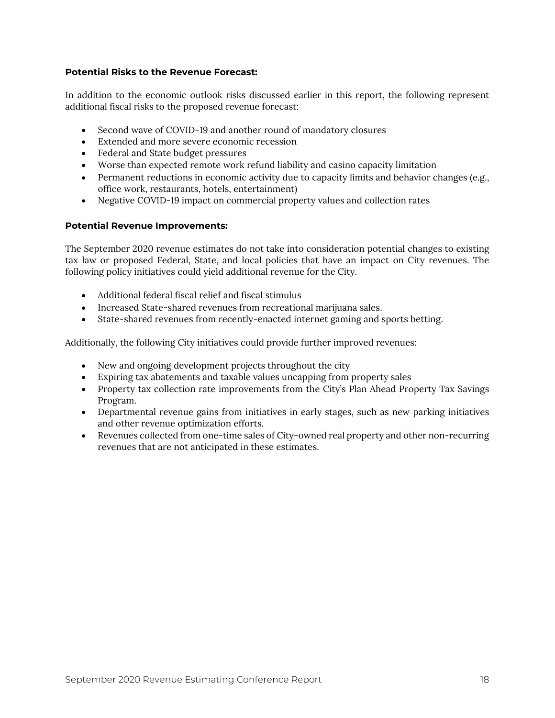# **Potential Risks to the Revenue Forecast:**

In addition to the economic outlook risks discussed earlier in this report, the following represent additional fiscal risks to the proposed revenue forecast:

- Second wave of COVID-19 and another round of mandatory closures
- Extended and more severe economic recession
- Federal and State budget pressures
- Worse than expected remote work refund liability and casino capacity limitation
- Permanent reductions in economic activity due to capacity limits and behavior changes (e.g., office work, restaurants, hotels, entertainment)
- Negative COVID-19 impact on commercial property values and collection rates

# **Potential Revenue Improvements:**

The September 2020 revenue estimates do not take into consideration potential changes to existing tax law or proposed Federal, State, and local policies that have an impact on City revenues. The following policy initiatives could yield additional revenue for the City.

- Additional federal fiscal relief and fiscal stimulus
- Increased State-shared revenues from recreational marijuana sales.
- State-shared revenues from recently-enacted internet gaming and sports betting.

Additionally, the following City initiatives could provide further improved revenues:

- New and ongoing development projects throughout the city
- Expiring tax abatements and taxable values uncapping from property sales
- Property tax collection rate improvements from the City's Plan Ahead Property Tax Savings Program.
- Departmental revenue gains from initiatives in early stages, such as new parking initiatives and other revenue optimization efforts.
- Revenues collected from one-time sales of City-owned real property and other non-recurring revenues that are not anticipated in these estimates.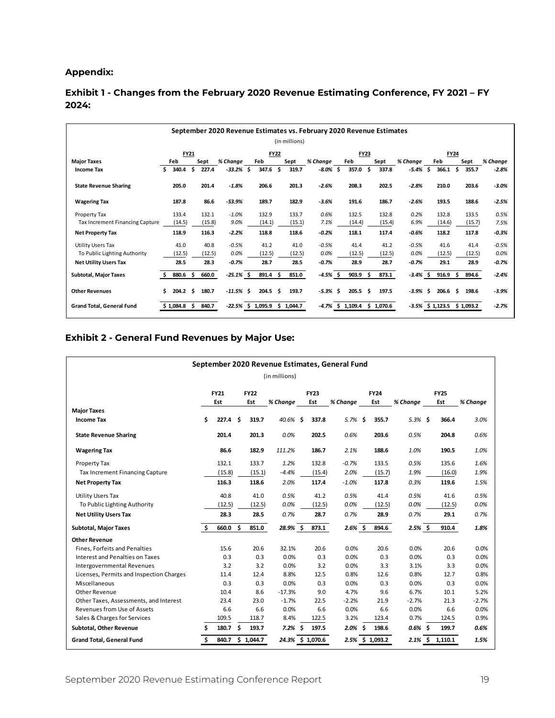# **Appendix:**

# **Exhibit 1 - Changes from the February 2020 Revenue Estimating Conference, FY 2021 – FY 2024:**

| September 2020 Revenue Estimates vs. February 2020 Revenue Estimates |    |           |             |        |              |  |                                 |      |               |            |    |                                |      |        |             |    |                     |     |           |          |
|----------------------------------------------------------------------|----|-----------|-------------|--------|--------------|--|---------------------------------|------|---------------|------------|----|--------------------------------|------|--------|-------------|----|---------------------|-----|-----------|----------|
|                                                                      |    |           |             |        |              |  |                                 |      | (in millions) |            |    |                                |      |        |             |    |                     |     |           |          |
|                                                                      |    |           | <b>FY21</b> |        |              |  | <b>FY22</b>                     |      |               |            |    | <b>FY23</b>                    |      |        |             |    | <b>FY24</b>         |     |           |          |
| <b>Major Taxes</b>                                                   |    | Feb       |             | Sept   | % Change     |  | Feb                             |      | Sept          | % Change   |    | Feb                            |      | Sept   | % Change    |    | Feb                 |     | Sept      | % Change |
| <b>Income Tax</b>                                                    | Ś  | 340.4     | Ś.          | 227.4  | $-33.2%$ \$  |  | 347.6                           | - \$ | 319.7         | $-8.0\%$   | Ŝ. | 357.0                          | Ŝ.   | 337.8  | $-5.4%$     | Ŝ. | 366.1               | Ś.  | 355.7     | $-2.8%$  |
| <b>State Revenue Sharing</b>                                         |    | 205.0     |             | 201.4  | $-1.8%$      |  | 206.6                           |      | 201.3         | $-2.6%$    |    | 208.3                          |      | 202.5  | $-2.8%$     |    | 210.0               |     | 203.6     | $-3.0%$  |
| <b>Wagering Tax</b>                                                  |    | 187.8     |             | 86.6   | $-53.9%$     |  | 189.7                           |      | 182.9         | $-3.6%$    |    | 191.6                          |      | 186.7  | $-2.6%$     |    | 193.5               |     | 188.6     | $-2.5%$  |
| Property Tax                                                         |    | 133.4     |             | 132.1  | $-1.0%$      |  | 132.9                           |      | 133.7         | 0.6%       |    | 132.5                          |      | 132.8  | 0.2%        |    | 132.8               |     | 133.5     | 0.5%     |
| Tax Increment Financing Capture                                      |    | (14.5)    |             | (15.8) | 9.0%         |  | (14.1)                          |      | (15.1)        | 7.1%       |    | (14.4)                         |      | (15.4) | 6.9%        |    | (14.6)              |     | (15.7)    | 7.5%     |
| <b>Net Property Tax</b>                                              |    | 118.9     |             | 116.3  | $-2.2%$      |  | 118.8                           |      | 118.6         | $-0.2%$    |    | 118.1                          |      | 117.4  | $-0.6%$     |    | 118.2               |     | 117.8     | $-0.3%$  |
| <b>Utility Users Tax</b>                                             |    | 41.0      |             | 40.8   | $-0.5%$      |  | 41.2                            |      | 41.0          | $-0.5%$    |    | 41.4                           |      | 41.2   | $-0.5%$     |    | 41.6                |     | 41.4      | $-0.5%$  |
| To Public Lighting Authority                                         |    | (12.5)    |             | (12.5) | 0.0%         |  | (12.5)                          |      | (12.5)        | 0.0%       |    | (12.5)                         |      | (12.5) | 0.0%        |    | (12.5)              |     | (12.5)    | 0.0%     |
| <b>Net Utility Users Tax</b>                                         |    | 28.5      |             | 28.3   | $-0.7%$      |  | 28.7                            |      | 28.5          | $-0.7%$    |    | 28.9                           |      | 28.7   | $-0.7%$     |    | 29.1                |     | 28.9      | $-0.7%$  |
| <b>Subtotal, Major Taxes</b>                                         |    | 880.6     | Ś           | 660.0  | $-25.1\%$ \$ |  | 891.4 \$                        |      | 851.0         | -4.5% \$   |    | 903.9<br>- Ś                   |      | 873.1  | $-3.4\%$ \$ |    | 916.9               | Ŝ.  | 894.6     | $-2.4%$  |
| <b>Other Revenues</b>                                                | Ś. | 204.2     | Ŝ           | 180.7  | $-11.5%$ \$  |  | 204.5                           | - \$ | 193.7         | $-5.3%$ \$ |    | 205.5                          | - \$ | 197.5  | $-3.9%$ \$  |    | 206.6               | \$. | 198.6     | $-3.9%$  |
| Grand Total, General Fund                                            |    | \$1,084.8 | Ŝ.          | 840.7  |              |  | $-22.5\%$ \$ 1,095.9 \$ 1,044.7 |      |               |            |    | $-4.7\%$ \$ 1,109.4 \$ 1,070.6 |      |        |             |    | $-3.5\%$ \$ 1,123.5 |     | \$1,093.2 | $-2.7%$  |

# **Exhibit 2 - General Fund Revenues by Major Use:**

| September 2020 Revenue Estimates, General Fund |    |             |    |             |               |      |                  |            |     |                 |            |  |                    |          |
|------------------------------------------------|----|-------------|----|-------------|---------------|------|------------------|------------|-----|-----------------|------------|--|--------------------|----------|
|                                                |    |             |    |             | (in millions) |      |                  |            |     |                 |            |  |                    |          |
|                                                |    | <b>FY21</b> |    | <b>FY22</b> |               |      | <b>FY23</b>      |            |     | <b>FY24</b>     |            |  | <b>FY25</b>        |          |
|                                                |    | Est         |    | Est         | % Change      |      | Est              | % Change   |     | Est             | % Change   |  | Est                | % Change |
| <b>Major Taxes</b>                             |    |             |    |             |               |      |                  |            |     |                 |            |  |                    |          |
| <b>Income Tax</b>                              | \$ | $227.4$ \$  |    | 319.7       | 40.6%         | - \$ | 337.8            | $5.7%$ \$  |     | 355.7           | $5.3%$ \$  |  | 366.4              | 3.0%     |
| <b>State Revenue Sharing</b>                   |    | 201.4       |    | 201.3       | 0.0%          |      | 202.5            | 0.6%       |     | 203.6           | 0.5%       |  | 204.8              | 0.6%     |
| <b>Wagering Tax</b>                            |    | 86.6        |    | 182.9       | 111.2%        |      | 186.7            | 2.1%       |     | 188.6           | 1.0%       |  | 190.5              | 1.0%     |
| Property Tax                                   |    | 132.1       |    | 133.7       | 1.2%          |      | 132.8            | $-0.7%$    |     | 133.5           | 0.5%       |  | 135.6              | 1.6%     |
| Tax Increment Financing Capture                |    | (15.8)      |    | (15.1)      | $-4.4%$       |      | (15.4)           | 2.0%       |     | (15.7)          | 1.9%       |  | (16.0)             | 1.9%     |
| <b>Net Property Tax</b>                        |    | 116.3       |    | 118.6       | 2.0%          |      | 117.4            | $-1.0%$    |     | 117.8           | 0.3%       |  | 119.6              | 1.5%     |
| <b>Utility Users Tax</b>                       |    | 40.8        |    | 41.0        | 0.5%          |      | 41.2             | 0.5%       |     | 41.4            | 0.5%       |  | 41.6               | 0.5%     |
| To Public Lighting Authority                   |    | (12.5)      |    | (12.5)      | 0.0%          |      | (12.5)           | 0.0%       |     | (12.5)          | 0.0%       |  | (12.5)             | 0.0%     |
| <b>Net Utility Users Tax</b>                   |    | 28.3        |    | 28.5        | 0.7%          |      | 28.7             | 0.7%       |     | 28.9            | 0.7%       |  | 29.1               | 0.7%     |
| <b>Subtotal, Major Taxes</b>                   | S  | 660.0       | \$ | 851.0       | 28.9%\$       |      | 873.1            | $2.6\%$ \$ |     | 894.6           | $2.5%$ \$  |  | 910.4              | 1.8%     |
| <b>Other Revenue</b>                           |    |             |    |             |               |      |                  |            |     |                 |            |  |                    |          |
| Fines, Forfeits and Penalties                  |    | 15.6        |    | 20.6        | 32.1%         |      | 20.6             | 0.0%       |     | 20.6            | 0.0%       |  | 20.6               | 0.0%     |
| Interest and Penalties on Taxes                |    | 0.3         |    | 0.3         | 0.0%          |      | 0.3              | 0.0%       |     | 0.3             | 0.0%       |  | 0.3                | 0.0%     |
| Intergovernmental Revenues                     |    | 3.2         |    | 3.2         | 0.0%          |      | 3.2              | 0.0%       |     | 3.3             | 3.1%       |  | 3.3                | 0.0%     |
| Licenses, Permits and Inspection Charges       |    | 11.4        |    | 12.4        | 8.8%          |      | 12.5             | 0.8%       |     | 12.6            | 0.8%       |  | 12.7               | 0.8%     |
| Miscellaneous                                  |    | 0.3         |    | 0.3         | 0.0%          |      | 0.3              | 0.0%       |     | 0.3             | 0.0%       |  | 0.3                | 0.0%     |
| Other Revenue                                  |    | 10.4        |    | 8.6         | $-17.3%$      |      | 9.0              | 4.7%       |     | 9.6             | 6.7%       |  | 10.1               | 5.2%     |
| Other Taxes, Assessments, and Interest         |    | 23.4        |    | 23.0        | $-1.7%$       |      | 22.5             | $-2.2%$    |     | 21.9            | $-2.7%$    |  | 21.3               | $-2.7%$  |
| Revenues from Use of Assets                    |    | 6.6         |    | 6.6         | 0.0%          |      | 6.6              | 0.0%       |     | 6.6             | 0.0%       |  | 6.6                | 0.0%     |
| Sales & Charges for Services                   |    | 109.5       |    | 118.7       | 8.4%          |      | 122.5            | 3.2%       |     | 123.4           | 0.7%       |  | 124.5              | 0.9%     |
| Subtotal, Other Revenue                        | Ś  | 180.7       | \$ | 193.7       | 7.2%          | - Ś  | 197.5            | 2.0%       | - Ś | 198.6           | $0.6\%$ \$ |  | 199.7              | 0.6%     |
| <b>Grand Total, General Fund</b>               | Ś  | 840.7       |    | \$1,044.7   |               |      | 24.3% \$ 1,070.6 |            |     | 2.5% \$ 1,093.2 |            |  | $2.1\%$ \$ 1,110.1 | 1.5%     |